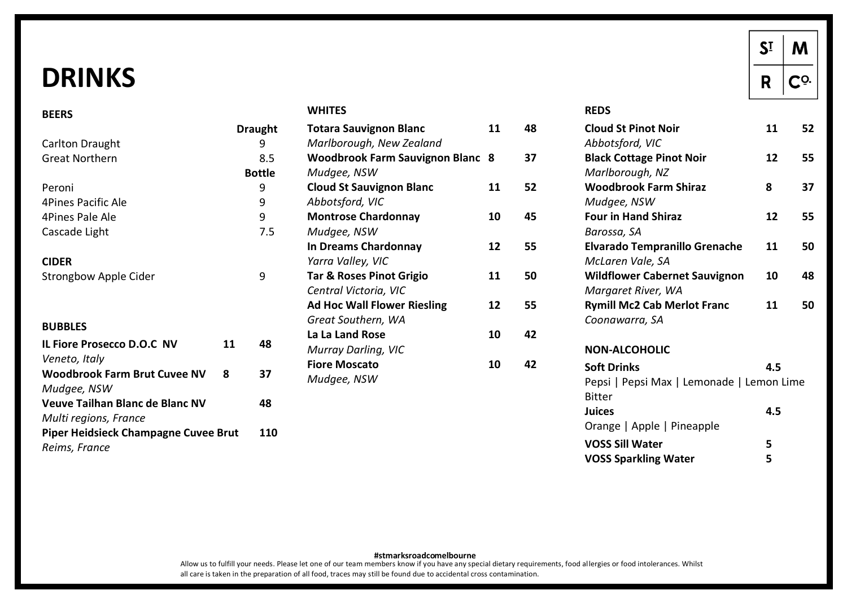# **DRINKS**

**BEERS** 

#### **WHITES**

|                                             |    | <b>Draught</b> | Τ      |
|---------------------------------------------|----|----------------|--------|
| <b>Carlton Draught</b>                      |    | 9              | Λ      |
| <b>Great Northern</b>                       |    | 8.5            | ٧      |
|                                             |    | <b>Bottle</b>  | Λ      |
| Peroni                                      |    | 9              | C      |
| 4Pines Pacific Ale                          |    | 9              | А      |
| 4Pines Pale Ale                             |    | 9              | N      |
| Cascade Light                               |    | 7.5            | Λ      |
|                                             |    |                | Ir     |
| <b>CIDER</b>                                |    |                | Υ      |
| <b>Strongbow Apple Cider</b>                |    | 9              | Т      |
|                                             |    |                | С      |
|                                             |    |                | Α      |
| <b>BUBBLES</b>                              |    |                | G      |
| IL Fiore Prosecco D.O.C NV                  | 11 | 48             | L<br>Λ |
| Veneto, Italy                               |    |                | F      |
| <b>Woodbrook Farm Brut Cuvee NV</b>         | 8  | 37             | Λ      |
| Mudgee, NSW                                 |    |                |        |
| Veuve Tailhan Blanc de Blanc NV             |    | 48             |        |
| Multi regions, France                       |    |                |        |
| <b>Piper Heidsieck Champagne Cuvee Brut</b> |    | 110            |        |
| Reims, France                               |    |                |        |
|                                             |    |                |        |

| <b>Totara Sauvignon Blanc</b>           | 11 |
|-----------------------------------------|----|
| Marlborough, New Zealand                |    |
| <b>Woodbrook Farm Sauvignon Blanc 8</b> |    |
| Mudgee, NSW                             |    |
| <b>Cloud St Sauvignon Blanc</b>         | 11 |
| Abbotsford, VIC                         |    |
| <b>Montrose Chardonnay</b>              | 10 |
| Mudgee, NSW                             |    |
| In Dreams Chardonnay                    | 12 |
| Yarra Valley, VIC                       |    |
| <b>Tar &amp; Roses Pinot Grigio</b>     | 11 |
| Central Victoria, VIC                   |    |
| <b>Ad Hoc Wall Flower Riesling</b>      | 12 |
| Great Southern, WA                      |    |
| La La Land Rose                         | 10 |
| Murray Darling, VIC                     |    |
| <b>Fiore Moscato</b>                    | 10 |
| Mudgee, NSW                             |    |

#### **REDS**

| <b>Cloud St Pinot Noir</b>                | 11  | 52 |
|-------------------------------------------|-----|----|
| Abbotsford, VIC                           |     |    |
| <b>Black Cottage Pinot Noir</b>           | 12  | 55 |
| Marlborough, NZ                           |     |    |
| <b>Woodbrook Farm Shiraz</b>              | 8   | 37 |
| Mudgee, NSW                               |     |    |
| <b>Four in Hand Shiraz</b>                | 12  | 55 |
| Barossa, SA                               |     |    |
| <b>Elvarado Tempranillo Grenache</b>      | 11  | 50 |
| McLaren Vale, SA                          |     |    |
| <b>Wildflower Cabernet Sauvignon</b>      | 10  | 48 |
| Margaret River, WA                        |     |    |
| <b>Rymill Mc2 Cab Merlot Franc</b>        | 11  | 50 |
| Coonawarra, SA                            |     |    |
| <b>NON-ALCOHOLIC</b>                      |     |    |
| <b>Soft Drinks</b>                        | 4.5 |    |
| Pepsi   Pepsi Max   Lemonade   Lemon Lime |     |    |
| <b>Bitter</b>                             |     |    |
| <b>Juices</b>                             | 4.5 |    |
| Orange   Apple   Pineapple                |     |    |
| <b>VOSS Sill Water</b>                    | 5   |    |
| <b>VOSS Sparkling Water</b>               | 5   |    |
|                                           |     |    |

 $S<sub>I</sub>$ 

 $\mathbf R$ 

M

 $C^{\Omega}$ 

Allow us to fulfill your needs. Please let one of our team members know if you have any special dietary requirements, food allergies or food intolerances. Whilst **#stmarksroadcomelbourne** all care is taken in the preparation of all food, traces may still be found due to accidental cross contamination.